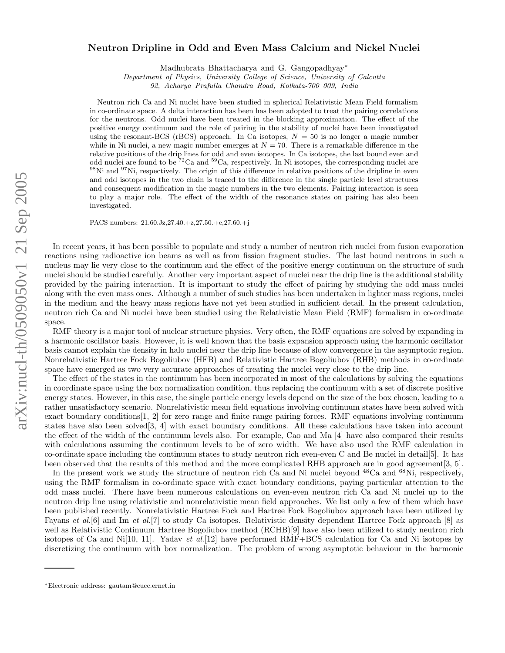## arXiv:nucl-th/0509050v1 21 Sep 2005 arXiv:nucl-th/0509050v1 21 Sep 2005

## Neutron Dripline in Odd and Even Mass Calcium and Nickel Nuclei

Madhubrata Bhattacharya and G. Gangopadhyay<sup>\*</sup>

Department of Physics, University College of Science, University of Calcutta

92, Acharya Prafulla Chandra Road, Kolkata-700 009, India

Neutron rich Ca and Ni nuclei have been studied in spherical Relativistic Mean Field formalism in co-ordinate space. A delta interaction has been has been adopted to treat the pairing correlations for the neutrons. Odd nuclei have been treated in the blocking approximation. The effect of the positive energy continuum and the role of pairing in the stability of nuclei have been investigated using the resonant-BCS (rBCS) approach. In Ca isotopes,  $N = 50$  is no longer a magic number while in Ni nuclei, a new magic number emerges at  $N = 70$ . There is a remarkable difference in the relative positions of the drip lines for odd and even isotopes. In Ca isotopes, the last bound even and odd nuclei are found to be <sup>72</sup>Ca and <sup>59</sup>Ca, respectively. In Ni isotopes, the corresponding nuclei are  $98\text{Ni}$  and  $97\text{Ni}$ , respectively. The origin of this difference in relative positions of the dripline in even and odd isotopes in the two chain is traced to the difference in the single particle level structures and consequent modification in the magic numbers in the two elements. Pairing interaction is seen to play a major role. The effect of the width of the resonance states on pairing has also been investigated.

PACS numbers: 21.60.Jz,27.40.+z,27.50.+e,27.60.+j

In recent years, it has been possible to populate and study a number of neutron rich nuclei from fusion evaporation reactions using radioactive ion beams as well as from fission fragment studies. The last bound neutrons in such a nucleus may lie very close to the continuum and the effect of the positive energy continuum on the structure of such nuclei should be studied carefully. Another very important aspect of nuclei near the drip line is the additional stability provided by the pairing interaction. It is important to study the effect of pairing by studying the odd mass nuclei along with the even mass ones. Although a number of such studies has been undertaken in lighter mass regions, nuclei in the medium and the heavy mass regions have not yet been studied in sufficient detail. In the present calculation, neutron rich Ca and Ni nuclei have been studied using the Relativistic Mean Field (RMF) formalism in co-ordinate space.

RMF theory is a major tool of nuclear structure physics. Very often, the RMF equations are solved by expanding in a harmonic oscillator basis. However, it is well known that the basis expansion approach using the harmonic oscillator basis cannot explain the density in halo nuclei near the drip line because of slow convergence in the asymptotic region. Nonrelativistic Hartree Fock Bogoliubov (HFB) and Relativistic Hartree Bogoliubov (RHB) methods in co-ordinate space have emerged as two very accurate approaches of treating the nuclei very close to the drip line.

The effect of the states in the continuum has been incorporated in most of the calculations by solving the equations in coordinate space using the box normalization condition, thus replacing the continuum with a set of discrete positive energy states. However, in this case, the single particle energy levels depend on the size of the box chosen, leading to a rather unsatisfactory scenario. Nonrelativistic mean field equations involving continuum states have been solved with exact boundary conditions[1, 2] for zero range and finite range pairing forces. RMF equations involving continuum states have also been solved[3, 4] with exact boundary conditions. All these calculations have taken into account the effect of the width of the continuum levels also. For example, Cao and Ma [4] have also compared their results with calculations assuming the continuum levels to be of zero width. We have also used the RMF calculation in co-ordinate space including the continuum states to study neutron rich even-even C and Be nuclei in detail[5]. It has been observed that the results of this method and the more complicated RHB approach are in good agreement[3, 5].

In the present work we study the structure of neutron rich Ca and Ni nuclei beyond <sup>48</sup>Ca and <sup>68</sup>Ni, respectively, using the RMF formalism in co-ordinate space with exact boundary conditions, paying particular attention to the odd mass nuclei. There have been numerous calculations on even-even neutron rich Ca and Ni nuclei up to the neutron drip line using relativistic and nonrelativistic mean field approaches. We list only a few of them which have been published recently. Nonrelativistic Hartree Fock and Hartree Fock Bogoliubov approach have been utilized by Fayans et al.[6] and Im et al.[7] to study Ca isotopes. Relativistic density dependent Hartree Fock approach [8] as well as Relativistic Continuum Hartree Bogoliubov method (RCHB)[9] have also been utilized to study neutron rich isotopes of Ca and Ni[10, 11]. Yadav et al.[12] have performed  $RMF+BCS$  calculation for Ca and Ni isotopes by discretizing the continuum with box normalization. The problem of wrong asymptotic behaviour in the harmonic

<sup>∗</sup>Electronic address: gautam@cucc.ernet.in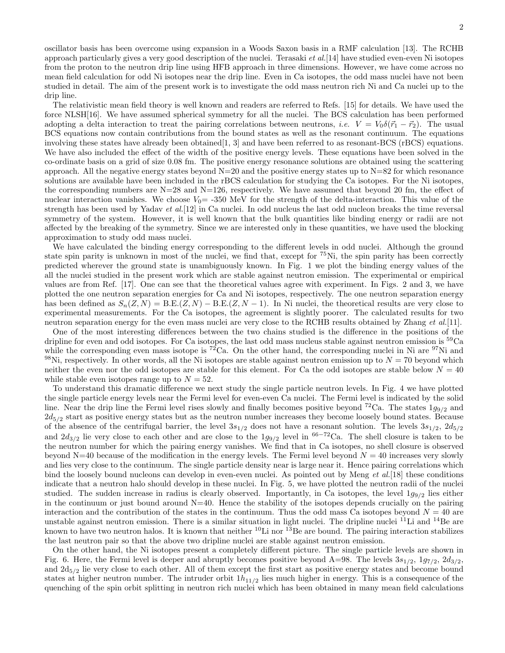oscillator basis has been overcome using expansion in a Woods Saxon basis in a RMF calculation [13]. The RCHB approach particularly gives a very good description of the nuclei. Terasaki et  $al$ . [14] have studied even-even Ni isotopes from the proton to the neutron drip line using HFB approach in three dimensions. However, we have come across no mean field calculation for odd Ni isotopes near the drip line. Even in Ca isotopes, the odd mass nuclei have not been studied in detail. The aim of the present work is to investigate the odd mass neutron rich Ni and Ca nuclei up to the drip line.

The relativistic mean field theory is well known and readers are referred to Refs. [15] for details. We have used the force NLSH[16]. We have assumed spherical symmetry for all the nuclei. The BCS calculation has been performed adopting a delta interaction to treat the pairing correlations between neutrons, *i.e.*  $V = V_0 \delta(\vec{r}_1 - \vec{r}_2)$ . The usual BCS equations now contain contributions from the bound states as well as the resonant continuum. The equations involving these states have already been obtained [1, 3] and have been referred to as resonant-BCS (rBCS) equations. We have also included the effect of the width of the positive energy levels. These equations have been solved in the co-ordinate basis on a grid of size 0.08 fm. The positive energy resonance solutions are obtained using the scattering approach. All the negative energy states beyond  $N=20$  and the positive energy states up to  $N=82$  for which resonance solutions are available have been included in the rBCS calculation for studying the Ca isotopes. For the Ni isotopes, the corresponding numbers are  $N=28$  and  $N=126$ , respectively. We have assumed that beyond 20 fm, the effect of nuclear interaction vanishes. We choose  $V_0$  = -350 MeV for the strength of the delta-interaction. This value of the strength has been used by Yadav et al.[12] in Ca nuclei. In odd nucleus the last odd nucleon breaks the time reversal symmetry of the system. However, it is well known that the bulk quantities like binding energy or radii are not affected by the breaking of the symmetry. Since we are interested only in these quantities, we have used the blocking approximation to study odd mass nuclei.

We have calculated the binding energy corresponding to the different levels in odd nuclei. Although the ground state spin parity is unknown in most of the nuclei, we find that, except for  ${}^{75}$ Ni, the spin parity has been correctly predicted wherever the ground state is unambiguously known. In Fig. 1 we plot the binding energy values of the all the nuclei studied in the present work which are stable against neutron emission. The experimental or empirical values are from Ref. [17]. One can see that the theoretical values agree with experiment. In Figs. 2 and 3, we have plotted the one neutron separation energies for Ca and Ni isotopes, respectively. The one neutron separation energy has been defined as  $S_n(Z, N) = B.E.(Z, N) - B.E.(Z, N-1)$ . In Ni nuclei, the theoretical results are very close to experimental measurements. For the Ca isotopes, the agreement is slightly poorer. The calculated results for two neutron separation energy for the even mass nuclei are very close to the RCHB results obtained by Zhang et al.[11].

One of the most interesting differences between the two chains studied is the difference in the positions of the dripline for even and odd isotopes. For Ca isotopes, the last odd mass nucleus stable against neutron emission is  ${}^{59}$ Ca while the corresponding even mass isotope is  ${}^{72}Ca$ . On the other hand, the corresponding nuclei in Ni are  ${}^{97}$ Ni and <sup>98</sup>Ni, respectively. In other words, all the Ni isotopes are stable against neutron emission up to  $N = 70$  beyond which neither the even nor the odd isotopes are stable for this element. For Ca the odd isotopes are stable below  $N = 40$ while stable even isotopes range up to  $N = 52$ .

To understand this dramatic difference we next study the single particle neutron levels. In Fig. 4 we have plotted the single particle energy levels near the Fermi level for even-even Ca nuclei. The Fermi level is indicated by the solid line. Near the drip line the Fermi level rises slowly and finally becomes positive beyond  ${}^{72}Ca$ . The states  $1g_{9/2}$  and  $2d_{5/2}$  start as positive energy states but as the neutron number increases they become loosely bound states. Because of the absence of the centrifugal barrier, the level  $3s_{1/2}$  does not have a resonant solution. The levels  $3s_{1/2}$ ,  $2d_{5/2}$ and  $2d_{3/2}$  lie very close to each other and are close to the  $1g_{9/2}$  level in <sup>66–72</sup>Ca. The shell closure is taken to be the neutron number for which the pairing energy vanishes. We find that in Ca isotopes, no shell closure is observed beyond N=40 because of the modification in the energy levels. The Fermi level beyond  $N = 40$  increases very slowly and lies very close to the continuum. The single particle density near is large near it. Hence pairing correlations which bind the loosely bound nucleons can develop in even-even nuclei. As pointed out by Meng et al.[18] these conditions indicate that a neutron halo should develop in these nuclei. In Fig. 5, we have plotted the neutron radii of the nuclei studied. The sudden increase in radius is clearly observed. Importantly, in Ca isotopes, the level  $1g_{9/2}$  lies either in the continuum or just bound around  $N=40$ . Hence the stability of the isotopes depends crucially on the pairing interaction and the contribution of the states in the continuum. Thus the odd mass Ca isotopes beyond  $N = 40$  are unstable against neutron emission. There is a similar situation in light nuclei. The dripline nuclei  $^{11}$ Li and  $^{14}$ Be are known to have two neutron halos. It is known that neither  ${}^{10}$ Li nor  ${}^{13}$ Be are bound. The pairing interaction stabilizes the last neutron pair so that the above two dripline nuclei are stable against neutron emission.

On the other hand, the Ni isotopes present a completely different picture. The single particle levels are shown in Fig. 6. Here, the Fermi level is deeper and abruptly becomes positive beyond A=98. The levels  $3s_{1/2}$ ,  $1g_{7/2}$ ,  $2d_{3/2}$ , and  $2d_{5/2}$  lie very close to each other. All of them except the first start as positive energy states and become bound states at higher neutron number. The intruder orbit  $1h_{11/2}$  lies much higher in energy. This is a consequence of the quenching of the spin orbit splitting in neutron rich nuclei which has been obtained in many mean field calculations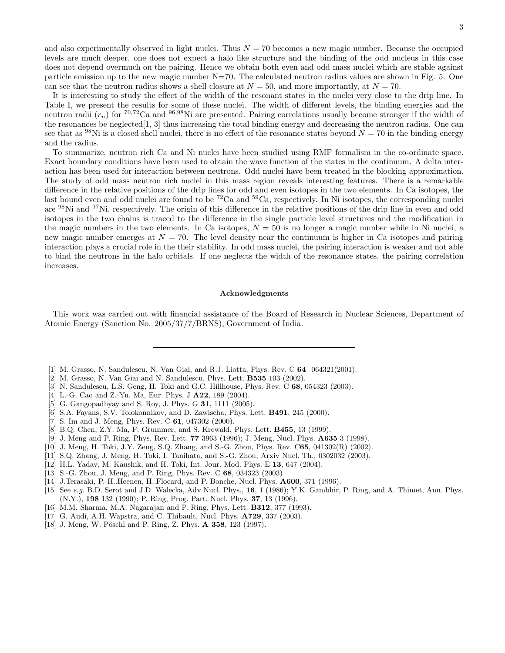and also experimentally observed in light nuclei. Thus  $N = 70$  becomes a new magic number. Because the occupied levels are much deeper, one does not expect a halo like structure and the binding of the odd nucleus in this case does not depend overmuch on the pairing. Hence we obtain both even and odd mass nuclei which are stable against particle emission up to the new magic number  $N=70$ . The calculated neutron radius values are shown in Fig. 5. One can see that the neutron radius shows a shell closure at  $N = 50$ , and more importantly, at  $N = 70$ .

It is interesting to study the effect of the width of the resonant states in the nuclei very close to the drip line. In Table I, we present the results for some of these nuclei. The width of different levels, the binding energies and the neutron radii  $(r_n)$  for  ${}^{70,72}$ Ca and  ${}^{96,98}$ Ni are presented. Pairing correlations usually become stronger if the width of the resonances be neglected[1, 3] thus increasing the total binding energy and decreasing the neutron radius. One can see that as <sup>98</sup>Ni is a closed shell nuclei, there is no effect of the resonance states beyond  $N = 70$  in the binding energy and the radius.

To summarize, neutron rich Ca and Ni nuclei have been studied using RMF formalism in the co-ordinate space. Exact boundary conditions have been used to obtain the wave function of the states in the continuum. A delta interaction has been used for interaction between neutrons. Odd nuclei have been treated in the blocking approximation. The study of odd mass neutron rich nuclei in this mass region reveals interesting features. There is a remarkable difference in the relative positions of the drip lines for odd and even isotopes in the two elements. In Ca isotopes, the last bound even and odd nuclei are found to be <sup>72</sup>Ca and <sup>59</sup>Ca, respectively. In Ni isotopes, the corresponding nuclei are <sup>98</sup>Ni and <sup>97</sup>Ni, respectively. The origin of this difference in the relative positions of the drip line in even and odd isotopes in the two chains is traced to the difference in the single particle level structures and the modification in the magic numbers in the two elements. In Ca isotopes,  $N = 50$  is no longer a magic number while in Ni nuclei, a new magic number emerges at  $N = 70$ . The level density near the continuum is higher in Ca isotopes and pairing interaction plays a crucial role in the their stability. In odd mass nuclei, the pairing interaction is weaker and not able to bind the neutrons in the halo orbitals. If one neglects the width of the resonance states, the pairing correlation increases.

## Acknowledgments

This work was carried out with financial assistance of the Board of Research in Nuclear Sciences, Department of Atomic Energy (Sanction No. 2005/37/7/BRNS), Government of India.

- [1] M. Grasso, N. Sandulescu, N. Van Giai, and R.J. Liotta, Phys. Rev. C 64 064321(2001).
- [2] M. Grasso, N. Van Giai and N. Sandulescu, Phys. Lett. B535 103 (2002).
- [3] N. Sandulescu, L.S. Geng, H. Toki and G.C. Hillhouse, Phys. Rev. C 68, 054323 (2003).
- [4] L.-G. Cao and Z.-Yu. Ma, Eur. Phys. J **A22**, 189 (2004).
- [5] G. Gangopadhyay and S. Roy, J. Phys. G **31**, 1111 (2005).
- [6] S.A. Fayans, S.V. Tolokonnikov, and D. Zawischa, Phys. Lett. B491, 245 (2000).
- [7] S. Im and J. Meng, Phys. Rev. C 61, 047302 (2000).
- [8] B.Q. Chen, Z.Y. Ma, F. Grummer, and S. Krewald, Phys. Lett. B455, 13 (1999).
- [9] J. Meng and P. Ring, Phys. Rev. Lett. 77 3963 (1996); J. Meng, Nucl. Phys. A635 3 (1998).
- [10] J. Meng, H. Toki, J.Y. Zeng, S.Q. Zhang, and S.-G. Zhou, Phys. Rev. C65, 041302(R) (2002).
- [11] S.Q. Zhang, J. Meng, H. Toki, I. Tanihata, and S.-G. Zhou, Arxiv Nucl. Th., 0302032 (2003).
- [12] H.L. Yadav, M. Kaushik, and H. Toki, Int. Jour. Mod. Phys. E 13, 647 (2004).
- [13] S.-G. Zhou, J. Meng, and P. Ring, Phys. Rev. C 68, 034323 (2003)
- [14] J.Terasaki, P.-H..Heenen, H..Flocard, and P. Bonche, Nucl. Phys. A600, 371 (1996).
- [15] See e.g. B.D. Serot and J.D. Walecka, Adv Nucl. Phys., 16, 1 (1986); Y.K. Gambhir, P. Ring, and A. Thimet, Ann. Phys. (N.Y.), 198 132 (1990); P. Ring, Prog. Part. Nucl. Phys. 37, 13 (1996).
- [16] M.M. Sharma, M.A. Nagarajan and P. Ring, Phys. Lett. B312, 377 (1993).
- [17] G. Audi, A.H. Wapstra, and C. Thibault, Nucl. Phys. **A729**, 337 (2003).
- [18] J. Meng, W. Pöschl and P. Ring, Z. Phys. A 358, 123 (1997).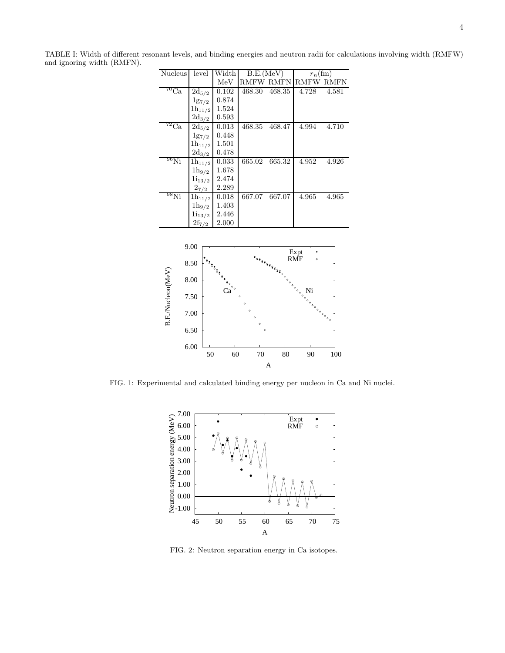TABLE I: Width of different resonant levels, and binding energies and neutron radii for calculations involving width (RMFW) and ignoring width (RMFN).

| Nucleus                    | level       | Width | B.E.(MeV)        |        | $r_n$ (fm) |       |
|----------------------------|-------------|-------|------------------|--------|------------|-------|
|                            |             | MeV   | <b>RMFW RMFN</b> |        | RMFW RMFN  |       |
| $\overline{C}_{\text{Ca}}$ | $2d_{5/2}$  | 0.102 | 468.30           | 468.35 | 4.728      | 4.581 |
|                            | $1g_{7/2}$  | 0.874 |                  |        |            |       |
|                            | $1h_{11/2}$ | 1.524 |                  |        |            |       |
|                            | $2d_{3/2}$  | 0.593 |                  |        |            |       |
| $^{72}$ Ca                 | $2d_{5/2}$  | 0.013 | 468.35           | 468.47 | 4.994      | 4.710 |
|                            | $1g_{7/2}$  | 0.448 |                  |        |            |       |
|                            | $1h_{11/2}$ | 1.501 |                  |        |            |       |
|                            | $2d_{3/2}$  | 0.478 |                  |        |            |       |
| $^{96}\rm{Ni}$             | $1h_{11/2}$ | 0.033 | 665.02           | 665.32 | 4.952      | 4.926 |
|                            | $1h_{9/2}$  | 1.678 |                  |        |            |       |
|                            | $1i_{13/2}$ | 2.474 |                  |        |            |       |
|                            | $2_{7/2}$   | 2.289 |                  |        |            |       |
| $^{98}$ Ni                 | $1h_{11/2}$ | 0.018 | 667.07           | 667.07 | 4.965      | 4.965 |
|                            | $1h_{9/2}$  | 1.403 |                  |        |            |       |
|                            | $1i_{13/2}$ | 2.446 |                  |        |            |       |
|                            | $2f_{7/2}$  | 2.000 |                  |        |            |       |



FIG. 1: Experimental and calculated binding energy per nucleon in Ca and Ni nuclei.



FIG. 2: Neutron separation energy in Ca isotopes.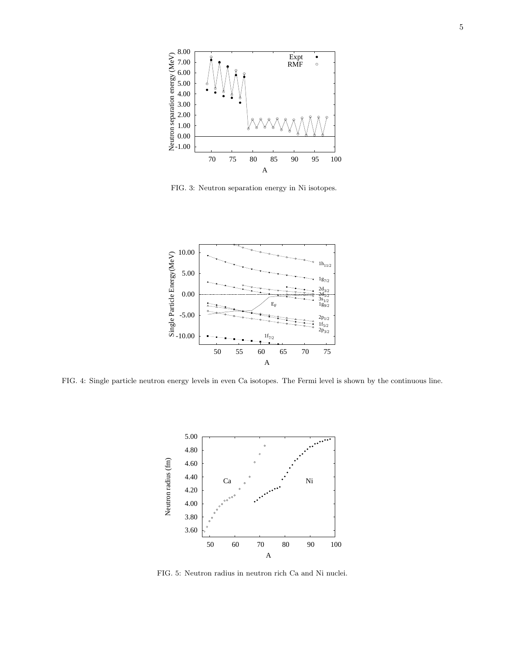

FIG. 3: Neutron separation energy in Ni isotopes.



FIG. 4: Single particle neutron energy levels in even Ca isotopes. The Fermi level is shown by the continuous line.



FIG. 5: Neutron radius in neutron rich Ca and Ni nuclei.